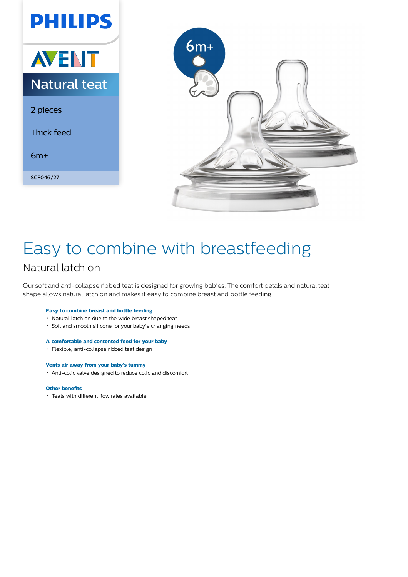



# Easy to combine with breastfeeding Natural latch on

Our soft and anti-collapse ribbed teat is designed for growing babies. The comfort petals and natural teat shape allows natural latch on and makes it easy to combine breast and bottle feeding.

# **Easy to combine breast and bottle feeding**

- Natural latch on due to the wide breast shaped teat
- Soft and smooth silicone for your baby's changing needs

### **A comfortable and contented feed for your baby**

Flexible, anti-collapse ribbed teat design

#### **Vents air away from your baby's tummy**

Anti-colic valve designed to reduce colic and discomfort

#### **Other benefits**

Teats with different flow rates available